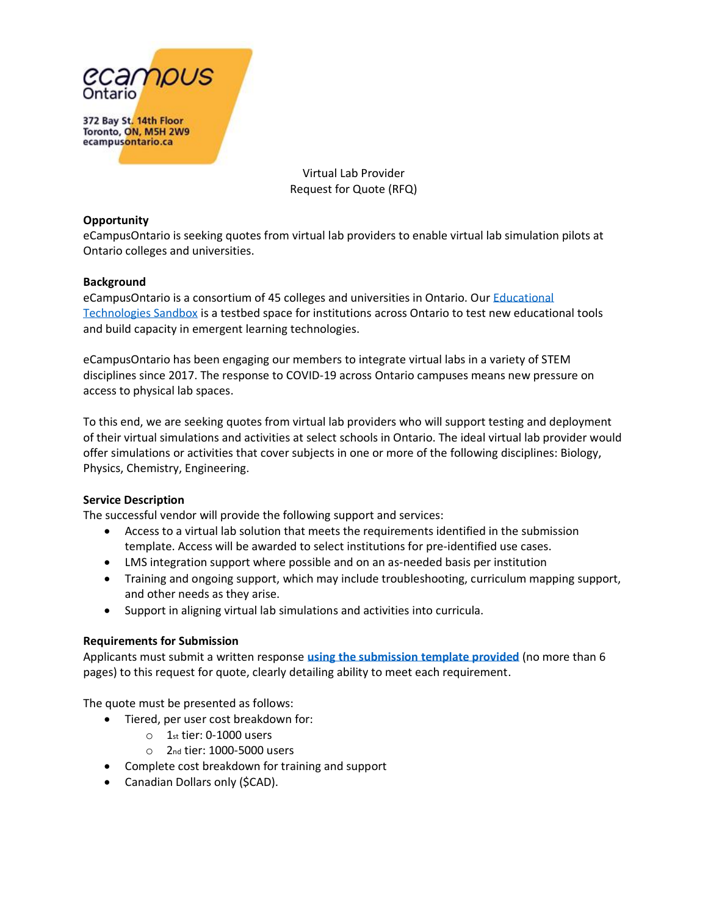

Virtual Lab Provider Request for Quote (RFQ)

### **Opportunity**

eCampusOntario is seeking quotes from virtual lab providers to enable virtual lab simulation pilots at Ontario colleges and universities.

### **Background**

eCampusOntario is a consortium of 45 colleges and universities in Ontario. Our [Educational](https://www.ecampusontario.ca/sandbox/)  [Technologies](https://www.ecampusontario.ca/sandbox/) Sandbox is a testbed space for institutions across Ontario to test new educational tools and build capacity in emergent learning technologies.

eCampusOntario has been engaging our members to integrate virtual labs in a variety of STEM disciplines since 2017. The response to COVID-19 across Ontario campuses means new pressure on access to physical lab spaces.

To this end, we are seeking quotes from virtual lab providers who will support testing and deployment of their virtual simulations and activities at select schools in Ontario. The ideal virtual lab provider would offer simulations or activities that cover subjects in one or more of the following disciplines: Biology, Physics, Chemistry, Engineering.

### **Service Description**

The successful vendor will provide the following support and services:

- Access to a virtual lab solution that meets the requirements identified in the submission template. Access will be awarded to select institutions for pre-identified use cases.
- LMS integration support where possible and on an as-needed basis per institution
- Training and ongoing support, which may include troubleshooting, curriculum mapping support, and other needs as they arise.
- Support in aligning virtual lab simulations and activities into curricula.

### **Requirements for Submission**

Applicants must submit a written response **[using the submission template provided](https://www.ecampusontario.ca/wp-content/uploads/2020/08/Virtual-Labs-RFQ-Template-EN.docx)** (no more than 6 pages) to this request for quote, clearly detailing ability to meet each requirement.

The quote must be presented as follows:

- Tiered, per user cost breakdown for:
	- o 1st tier: 0-1000 users
	- o 2nd tier: 1000-5000 users
- Complete cost breakdown for training and support
- Canadian Dollars only (\$CAD).